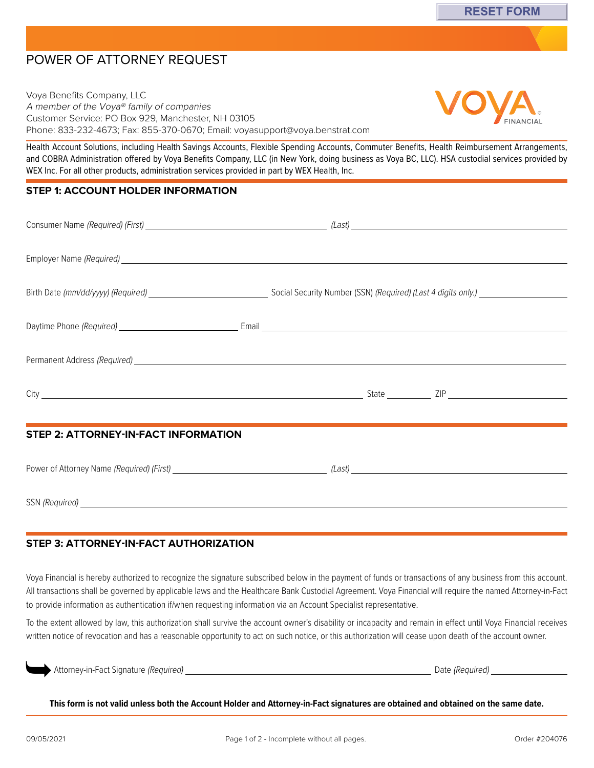# POWER OF ATTORNEY REQUEST

Voya Benefits Company, LLC A member of the Voya® family of companies Customer Service: PO Box 929, Manchester, NH 03105 Phone: 833-232-4673; Fax: 855-370-0670; Email: [voyasupport@voya.benstrat.com](mailto:voyasupport@voya.benstrat.com)

Health Account Solutions, including Health Savings Accounts, Flexible Spending Accounts, Commuter Benefits, Health Reimbursement Arrangements, and COBRA Administration offered by Voya Benefits Company, LLC (in New York, doing business as Voya BC, LLC). HSA custodial services provided by WEX Inc. For all other products, administration services provided in part by WEX Health, Inc.

#### **STEP 1: ACCOUNT HOLDER INFORMATION**

| <b>STEP 2: ATTORNEY-IN-FACT INFORMATION</b> |  |  |
|---------------------------------------------|--|--|
|                                             |  |  |
|                                             |  |  |
|                                             |  |  |

SSN (Required)

## **STEP 3: ATTORNEY-IN-FACT AUTHORIZATION**

Voya Financial is hereby authorized to recognize the signature subscribed below in the payment of funds or transactions of any business from this account. All transactions shall be governed by applicable laws and the Healthcare Bank Custodial Agreement. Voya Financial will require the named Attorney-in-Fact to provide information as authentication if/when requesting information via an Account Specialist representative.

To the extent allowed by law, this authorization shall survive the account owner's disability or incapacity and remain in effect until Voya Financial receives written notice of revocation and has a reasonable opportunity to act on such notice, or this authorization will cease upon death of the account owner.

| Attorney-in-Fact Signature (Required) | Date (Required) |
|---------------------------------------|-----------------|
|                                       |                 |

**This form is not valid unless both the Account Holder and Attorney-in-Fact signatures are obtained and obtained on the same date.**